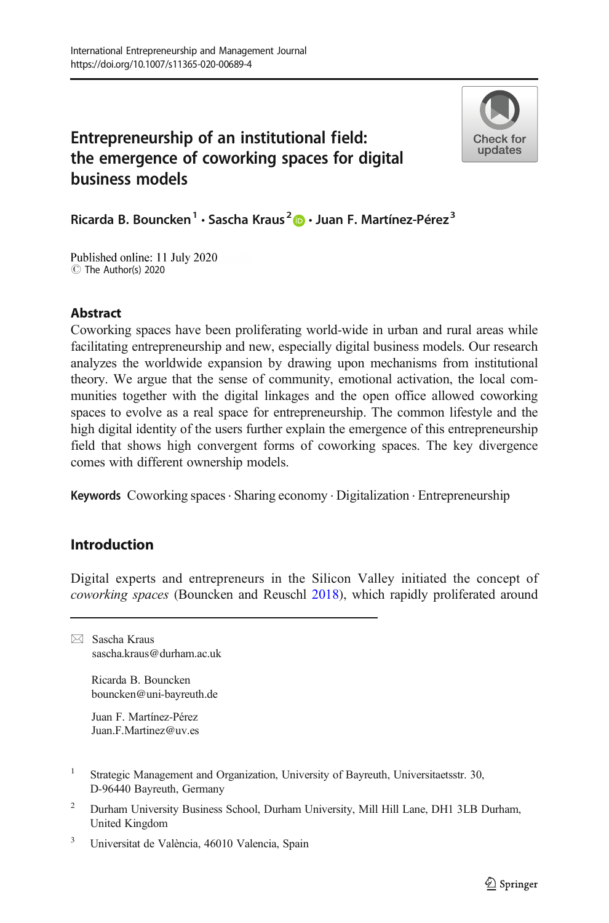# Entrepreneurship of an institutional field: the emergence of coworking spaces for digital business models



Ricarda B. Bouncken<sup>1</sup> · Sascha Kraus<sup>2</sup>  $\bullet$  · Juan F. Martínez-Pérez<sup>3</sup>

Published online: 11 July 2020 C The Author(s) 2020

# **Abstract**

Coworking spaces have been proliferating world-wide in urban and rural areas while facilitating entrepreneurship and new, especially digital business models. Our research analyzes the worldwide expansion by drawing upon mechanisms from institutional theory. We argue that the sense of community, emotional activation, the local communities together with the digital linkages and the open office allowed coworking spaces to evolve as a real space for entrepreneurship. The common lifestyle and the high digital identity of the users further explain the emergence of this entrepreneurship field that shows high convergent forms of coworking spaces. The key divergence comes with different ownership models.

Keywords Coworking spaces · Sharing economy · Digitalization · Entrepreneurship

# **Introduction**

Digital experts and entrepreneurs in the Silicon Valley initiated the concept of coworking spaces (Bouncken and Reuschl [2018\)](#page-13-0), which rapidly proliferated around

 $\boxtimes$  Sascha Kraus [sascha.kraus@durham.ac.uk](mailto:sascha.kraus@durham.ac.uk)

> Ricarda B. Bouncken bouncken@uni-bayreuth.de

Juan F. Martínez-Pérez Juan.F.Martinez@uv.es

- <sup>1</sup> Strategic Management and Organization, University of Bayreuth, Universitaetsstr. 30, D-96440 Bayreuth, Germany
- <sup>2</sup> Durham University Business School, Durham University, Mill Hill Lane, DH1 3LB Durham, United Kingdom
- <sup>3</sup> Universitat de València, 46010 Valencia, Spain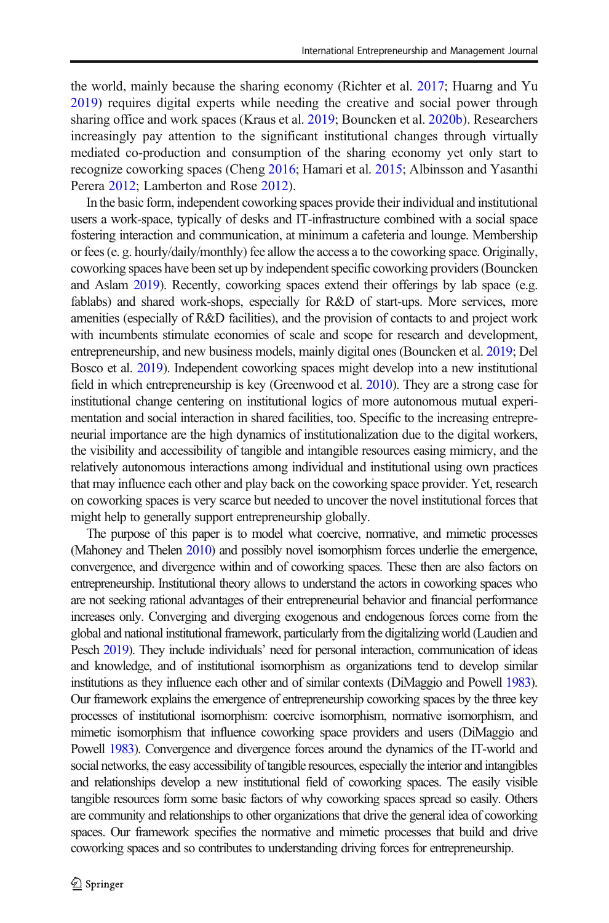the world, mainly because the sharing economy (Richter et al. [2017;](#page-15-0) Huarng and Yu [2019\)](#page-15-0) requires digital experts while needing the creative and social power through sharing office and work spaces (Kraus et al. [2019;](#page-15-0) Bouncken et al. [2020b\)](#page-13-0). Researchers increasingly pay attention to the significant institutional changes through virtually mediated co-production and consumption of the sharing economy yet only start to recognize coworking spaces (Cheng [2016](#page-14-0); Hamari et al. [2015](#page-14-0); Albinsson and Yasanthi Perera [2012](#page-12-0); Lamberton and Rose [2012](#page-15-0)).

In the basic form, independent coworking spaces provide their individual and institutional users a work-space, typically of desks and IT-infrastructure combined with a social space fostering interaction and communication, at minimum a cafeteria and lounge. Membership or fees (e. g. hourly/daily/monthly) fee allow the access a to the coworking space. Originally, coworking spaces have been set up by independent specific coworking providers (Bouncken and Aslam [2019](#page-13-0)). Recently, coworking spaces extend their offerings by lab space (e.g. fablabs) and shared work-shops, especially for R&D of start-ups. More services, more amenities (especially of R&D facilities), and the provision of contacts to and project work with incumbents stimulate economies of scale and scope for research and development, entrepreneurship, and new business models, mainly digital ones (Bouncken et al. [2019;](#page-13-0) Del Bosco et al. [2019\)](#page-14-0). Independent coworking spaces might develop into a new institutional field in which entrepreneurship is key (Greenwood et al. [2010](#page-14-0)). They are a strong case for institutional change centering on institutional logics of more autonomous mutual experimentation and social interaction in shared facilities, too. Specific to the increasing entrepreneurial importance are the high dynamics of institutionalization due to the digital workers, the visibility and accessibility of tangible and intangible resources easing mimicry, and the relatively autonomous interactions among individual and institutional using own practices that may influence each other and play back on the coworking space provider. Yet, research on coworking spaces is very scarce but needed to uncover the novel institutional forces that might help to generally support entrepreneurship globally.

The purpose of this paper is to model what coercive, normative, and mimetic processes (Mahoney and Thelen [2010](#page-15-0)) and possibly novel isomorphism forces underlie the emergence, convergence, and divergence within and of coworking spaces. These then are also factors on entrepreneurship. Institutional theory allows to understand the actors in coworking spaces who are not seeking rational advantages of their entrepreneurial behavior and financial performance increases only. Converging and diverging exogenous and endogenous forces come from the global and national institutional framework, particularly from the digitalizing world (Laudien and Pesch [2019\)](#page-15-0). They include individuals' need for personal interaction, communication of ideas and knowledge, and of institutional isomorphism as organizations tend to develop similar institutions as they influence each other and of similar contexts (DiMaggio and Powell [1983](#page-14-0)). Our framework explains the emergence of entrepreneurship coworking spaces by the three key processes of institutional isomorphism: coercive isomorphism, normative isomorphism, and mimetic isomorphism that influence coworking space providers and users (DiMaggio and Powell [1983\)](#page-14-0). Convergence and divergence forces around the dynamics of the IT-world and social networks, the easy accessibility of tangible resources, especially the interior and intangibles and relationships develop a new institutional field of coworking spaces. The easily visible tangible resources form some basic factors of why coworking spaces spread so easily. Others are community and relationships to other organizations that drive the general idea of coworking spaces. Our framework specifies the normative and mimetic processes that build and drive coworking spaces and so contributes to understanding driving forces for entrepreneurship.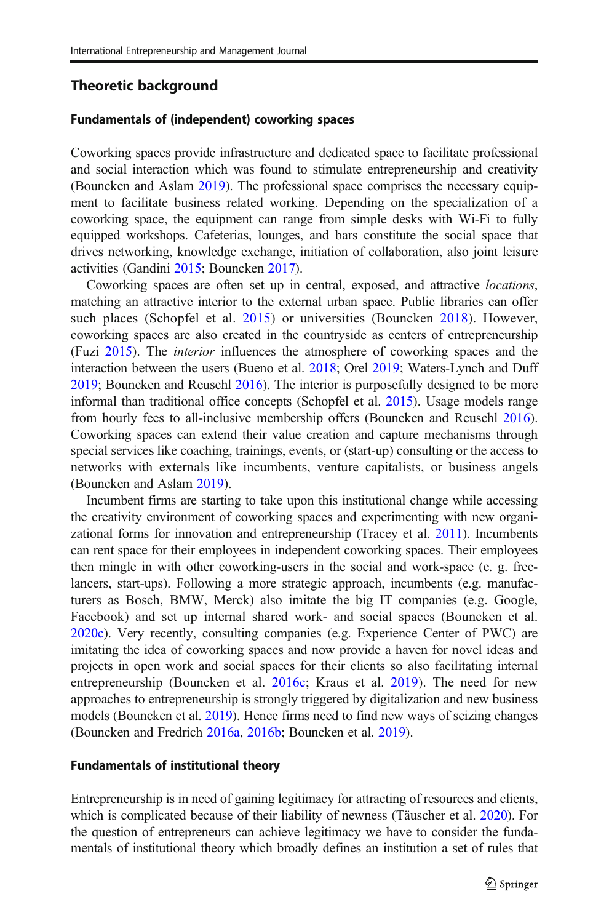### Theoretic background

#### Fundamentals of (independent) coworking spaces

Coworking spaces provide infrastructure and dedicated space to facilitate professional and social interaction which was found to stimulate entrepreneurship and creativity (Bouncken and Aslam [2019\)](#page-13-0). The professional space comprises the necessary equipment to facilitate business related working. Depending on the specialization of a coworking space, the equipment can range from simple desks with Wi-Fi to fully equipped workshops. Cafeterias, lounges, and bars constitute the social space that drives networking, knowledge exchange, initiation of collaboration, also joint leisure activities (Gandini [2015](#page-14-0); Bouncken [2017](#page-13-0)).

Coworking spaces are often set up in central, exposed, and attractive locations, matching an attractive interior to the external urban space. Public libraries can offer such places (Schopfel et al. [2015\)](#page-15-0) or universities (Bouncken [2018](#page-13-0)). However, coworking spaces are also created in the countryside as centers of entrepreneurship (Fuzi [2015\)](#page-14-0). The interior influences the atmosphere of coworking spaces and the interaction between the users (Bueno et al. [2018;](#page-13-0) Orel [2019](#page-15-0); Waters-Lynch and Duff [2019;](#page-16-0) Bouncken and Reuschl [2016\)](#page-13-0). The interior is purposefully designed to be more informal than traditional office concepts (Schopfel et al. [2015](#page-15-0)). Usage models range from hourly fees to all-inclusive membership offers (Bouncken and Reuschl [2016\)](#page-13-0). Coworking spaces can extend their value creation and capture mechanisms through special services like coaching, trainings, events, or (start-up) consulting or the access to networks with externals like incumbents, venture capitalists, or business angels (Bouncken and Aslam [2019\)](#page-13-0).

Incumbent firms are starting to take upon this institutional change while accessing the creativity environment of coworking spaces and experimenting with new organizational forms for innovation and entrepreneurship (Tracey et al. [2011\)](#page-16-0). Incumbents can rent space for their employees in independent coworking spaces. Their employees then mingle in with other coworking-users in the social and work-space (e. g. freelancers, start-ups). Following a more strategic approach, incumbents (e.g. manufacturers as Bosch, BMW, Merck) also imitate the big IT companies (e.g. Google, Facebook) and set up internal shared work- and social spaces (Bouncken et al. [2020c\)](#page-13-0). Very recently, consulting companies (e.g. Experience Center of PWC) are imitating the idea of coworking spaces and now provide a haven for novel ideas and projects in open work and social spaces for their clients so also facilitating internal entrepreneurship (Bouncken et al. [2016c;](#page-13-0) Kraus et al. [2019](#page-15-0)). The need for new approaches to entrepreneurship is strongly triggered by digitalization and new business models (Bouncken et al. [2019\)](#page-13-0). Hence firms need to find new ways of seizing changes (Bouncken and Fredrich [2016a](#page-13-0), [2016b;](#page-13-0) Bouncken et al. [2019\)](#page-13-0).

#### Fundamentals of institutional theory

Entrepreneurship is in need of gaining legitimacy for attracting of resources and clients, which is complicated because of their liability of newness (Täuscher et al. [2020](#page-16-0)). For the question of entrepreneurs can achieve legitimacy we have to consider the fundamentals of institutional theory which broadly defines an institution a set of rules that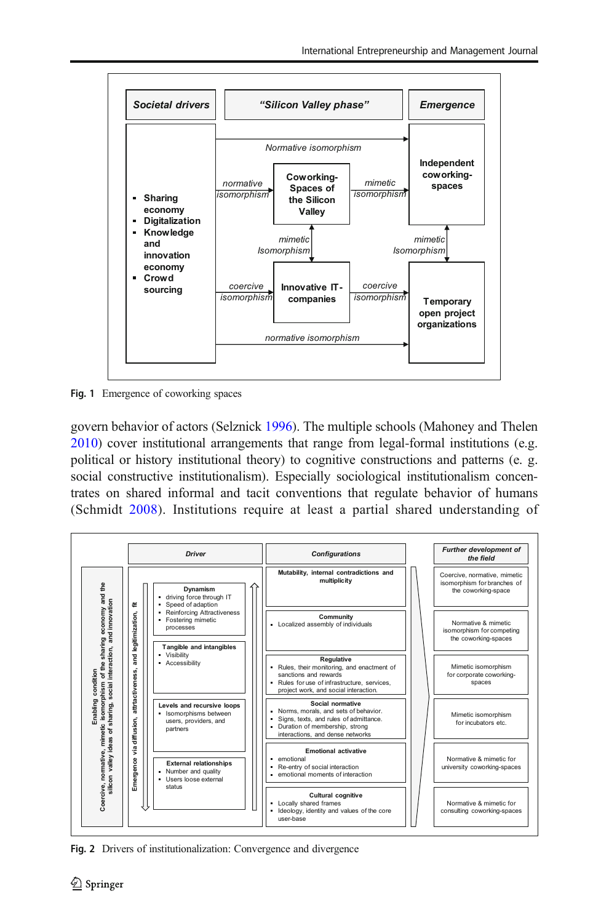<span id="page-3-0"></span>

Fig. 1 Emergence of coworking spaces

govern behavior of actors (Selznick [1996\)](#page-15-0). The multiple schools (Mahoney and Thelen [2010\)](#page-15-0) cover institutional arrangements that range from legal-formal institutions (e.g. political or history institutional theory) to cognitive constructions and patterns (e. g. social constructive institutionalism). Especially sociological institutionalism concentrates on shared informal and tacit conventions that regulate behavior of humans (Schmidt [2008\)](#page-15-0). Institutions require at least a partial shared understanding of



Fig. 2 Drivers of institutionalization: Convergence and divergence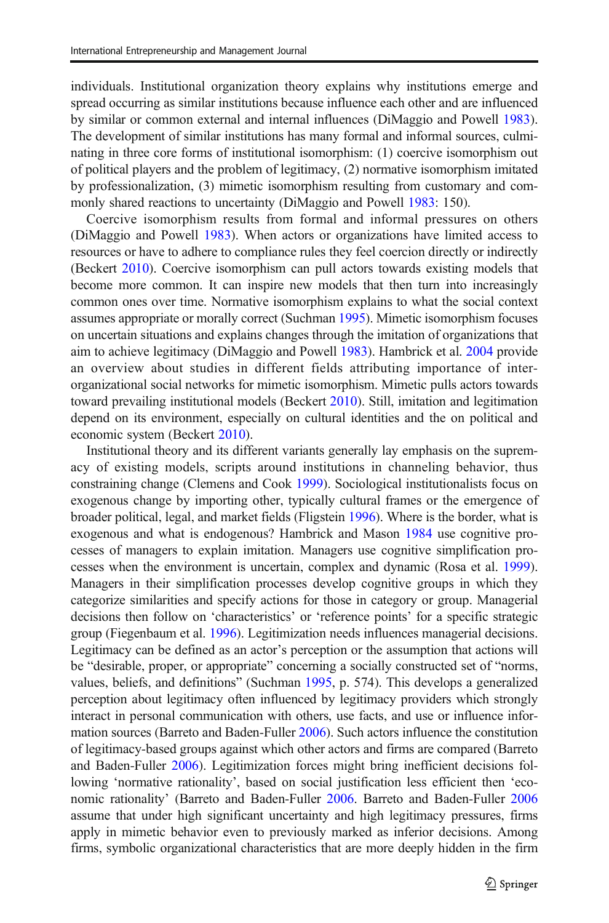individuals. Institutional organization theory explains why institutions emerge and spread occurring as similar institutions because influence each other and are influenced by similar or common external and internal influences (DiMaggio and Powell [1983\)](#page-14-0). The development of similar institutions has many formal and informal sources, culminating in three core forms of institutional isomorphism: (1) coercive isomorphism out of political players and the problem of legitimacy, (2) normative isomorphism imitated by professionalization, (3) mimetic isomorphism resulting from customary and commonly shared reactions to uncertainty (DiMaggio and Powell [1983](#page-14-0): 150).

Coercive isomorphism results from formal and informal pressures on others (DiMaggio and Powell [1983\)](#page-14-0). When actors or organizations have limited access to resources or have to adhere to compliance rules they feel coercion directly or indirectly (Beckert [2010\)](#page-12-0). Coercive isomorphism can pull actors towards existing models that become more common. It can inspire new models that then turn into increasingly common ones over time. Normative isomorphism explains to what the social context assumes appropriate or morally correct (Suchman [1995\)](#page-15-0). Mimetic isomorphism focuses on uncertain situations and explains changes through the imitation of organizations that aim to achieve legitimacy (DiMaggio and Powell [1983](#page-14-0)). Hambrick et al. [2004](#page-15-0) provide an overview about studies in different fields attributing importance of interorganizational social networks for mimetic isomorphism. Mimetic pulls actors towards toward prevailing institutional models (Beckert [2010\)](#page-12-0). Still, imitation and legitimation depend on its environment, especially on cultural identities and the on political and economic system (Beckert [2010](#page-12-0)).

Institutional theory and its different variants generally lay emphasis on the supremacy of existing models, scripts around institutions in channeling behavior, thus constraining change (Clemens and Cook [1999](#page-14-0)). Sociological institutionalists focus on exogenous change by importing other, typically cultural frames or the emergence of broader political, legal, and market fields (Fligstein [1996](#page-14-0)). Where is the border, what is exogenous and what is endogenous? Hambrick and Mason [1984](#page-15-0) use cognitive processes of managers to explain imitation. Managers use cognitive simplification processes when the environment is uncertain, complex and dynamic (Rosa et al. [1999\)](#page-15-0). Managers in their simplification processes develop cognitive groups in which they categorize similarities and specify actions for those in category or group. Managerial decisions then follow on 'characteristics' or 'reference points' for a specific strategic group (Fiegenbaum et al. [1996\)](#page-14-0). Legitimization needs influences managerial decisions. Legitimacy can be defined as an actor's perception or the assumption that actions will be "desirable, proper, or appropriate" concerning a socially constructed set of "norms, values, beliefs, and definitions" (Suchman [1995,](#page-15-0) p. 574). This develops a generalized perception about legitimacy often influenced by legitimacy providers which strongly interact in personal communication with others, use facts, and use or influence information sources (Barreto and Baden-Fuller [2006](#page-12-0)). Such actors influence the constitution of legitimacy-based groups against which other actors and firms are compared (Barreto and Baden-Fuller [2006](#page-12-0)). Legitimization forces might bring inefficient decisions following 'normative rationality', based on social justification less efficient then 'economic rationality' (Barreto and Baden-Fuller [2006.](#page-12-0) Barreto and Baden-Fuller [2006](#page-12-0) assume that under high significant uncertainty and high legitimacy pressures, firms apply in mimetic behavior even to previously marked as inferior decisions. Among firms, symbolic organizational characteristics that are more deeply hidden in the firm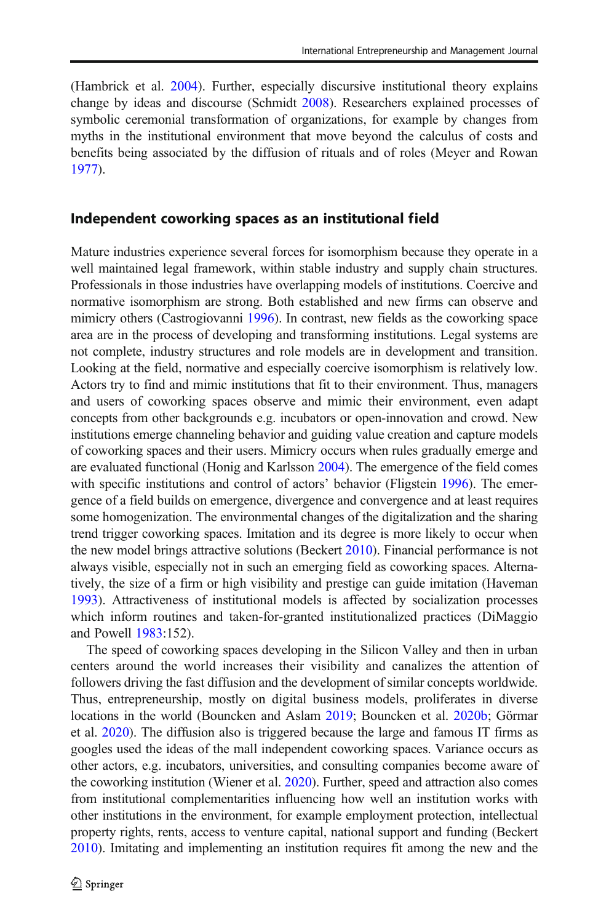(Hambrick et al. [2004\)](#page-15-0). Further, especially discursive institutional theory explains change by ideas and discourse (Schmidt [2008\)](#page-15-0). Researchers explained processes of symbolic ceremonial transformation of organizations, for example by changes from myths in the institutional environment that move beyond the calculus of costs and benefits being associated by the diffusion of rituals and of roles (Meyer and Rowan [1977\)](#page-15-0).

### Independent coworking spaces as an institutional field

Mature industries experience several forces for isomorphism because they operate in a well maintained legal framework, within stable industry and supply chain structures. Professionals in those industries have overlapping models of institutions. Coercive and normative isomorphism are strong. Both established and new firms can observe and mimicry others (Castrogiovanni [1996\)](#page-14-0). In contrast, new fields as the coworking space area are in the process of developing and transforming institutions. Legal systems are not complete, industry structures and role models are in development and transition. Looking at the field, normative and especially coercive isomorphism is relatively low. Actors try to find and mimic institutions that fit to their environment. Thus, managers and users of coworking spaces observe and mimic their environment, even adapt concepts from other backgrounds e.g. incubators or open-innovation and crowd. New institutions emerge channeling behavior and guiding value creation and capture models of coworking spaces and their users. Mimicry occurs when rules gradually emerge and are evaluated functional (Honig and Karlsson [2004\)](#page-15-0). The emergence of the field comes with specific institutions and control of actors' behavior (Fligstein [1996](#page-14-0)). The emergence of a field builds on emergence, divergence and convergence and at least requires some homogenization. The environmental changes of the digitalization and the sharing trend trigger coworking spaces. Imitation and its degree is more likely to occur when the new model brings attractive solutions (Beckert [2010\)](#page-12-0). Financial performance is not always visible, especially not in such an emerging field as coworking spaces. Alternatively, the size of a firm or high visibility and prestige can guide imitation (Haveman [1993\)](#page-15-0). Attractiveness of institutional models is affected by socialization processes which inform routines and taken-for-granted institutionalized practices (DiMaggio and Powell [1983](#page-14-0):152).

The speed of coworking spaces developing in the Silicon Valley and then in urban centers around the world increases their visibility and canalizes the attention of followers driving the fast diffusion and the development of similar concepts worldwide. Thus, entrepreneurship, mostly on digital business models, proliferates in diverse locations in the world (Bouncken and Aslam [2019;](#page-13-0) Bouncken et al. [2020b;](#page-13-0) Görmar et al. [2020](#page-14-0)). The diffusion also is triggered because the large and famous IT firms as googles used the ideas of the mall independent coworking spaces. Variance occurs as other actors, e.g. incubators, universities, and consulting companies become aware of the coworking institution (Wiener et al. [2020](#page-16-0)). Further, speed and attraction also comes from institutional complementarities influencing how well an institution works with other institutions in the environment, for example employment protection, intellectual property rights, rents, access to venture capital, national support and funding (Beckert [2010\)](#page-12-0). Imitating and implementing an institution requires fit among the new and the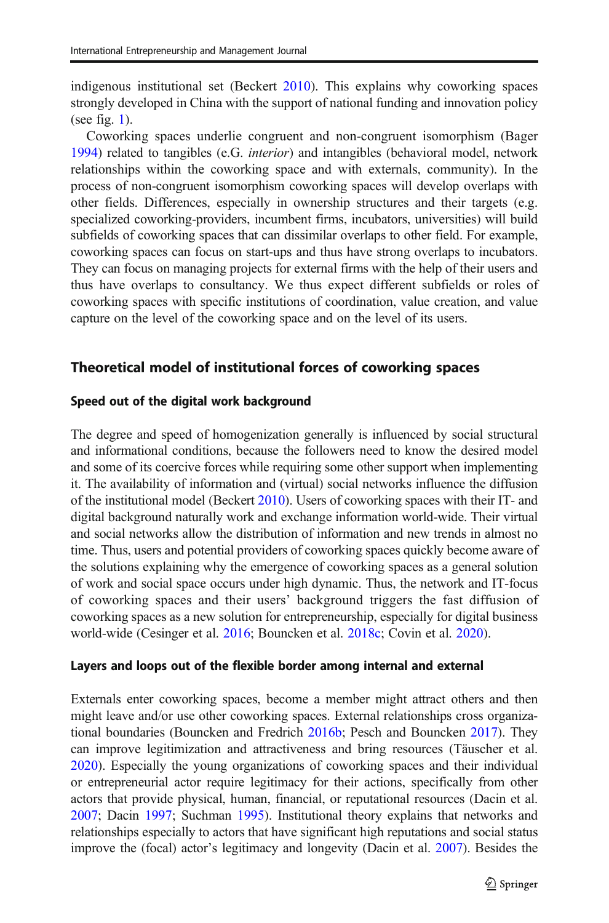indigenous institutional set (Beckert [2010](#page-12-0)). This explains why coworking spaces strongly developed in China with the support of national funding and innovation policy (see fig.  $1$ ).

Coworking spaces underlie congruent and non-congruent isomorphism (Bager [1994\)](#page-12-0) related to tangibles (e.G. interior) and intangibles (behavioral model, network relationships within the coworking space and with externals, community). In the process of non-congruent isomorphism coworking spaces will develop overlaps with other fields. Differences, especially in ownership structures and their targets (e.g. specialized coworking-providers, incumbent firms, incubators, universities) will build subfields of coworking spaces that can dissimilar overlaps to other field. For example, coworking spaces can focus on start-ups and thus have strong overlaps to incubators. They can focus on managing projects for external firms with the help of their users and thus have overlaps to consultancy. We thus expect different subfields or roles of coworking spaces with specific institutions of coordination, value creation, and value capture on the level of the coworking space and on the level of its users.

## Theoretical model of institutional forces of coworking spaces

#### Speed out of the digital work background

The degree and speed of homogenization generally is influenced by social structural and informational conditions, because the followers need to know the desired model and some of its coercive forces while requiring some other support when implementing it. The availability of information and (virtual) social networks influence the diffusion of the institutional model (Beckert [2010\)](#page-12-0). Users of coworking spaces with their IT- and digital background naturally work and exchange information world-wide. Their virtual and social networks allow the distribution of information and new trends in almost no time. Thus, users and potential providers of coworking spaces quickly become aware of the solutions explaining why the emergence of coworking spaces as a general solution of work and social space occurs under high dynamic. Thus, the network and IT-focus of coworking spaces and their users' background triggers the fast diffusion of coworking spaces as a new solution for entrepreneurship, especially for digital business world-wide (Cesinger et al. [2016;](#page-14-0) Bouncken et al. [2018c;](#page-13-0) Covin et al. [2020\)](#page-14-0).

#### Layers and loops out of the flexible border among internal and external

Externals enter coworking spaces, become a member might attract others and then might leave and/or use other coworking spaces. External relationships cross organizational boundaries (Bouncken and Fredrich [2016b;](#page-13-0) Pesch and Bouncken [2017](#page-15-0)). They can improve legitimization and attractiveness and bring resources (Täuscher et al. [2020\)](#page-16-0). Especially the young organizations of coworking spaces and their individual or entrepreneurial actor require legitimacy for their actions, specifically from other actors that provide physical, human, financial, or reputational resources (Dacin et al. [2007;](#page-14-0) Dacin [1997](#page-14-0); Suchman [1995\)](#page-15-0). Institutional theory explains that networks and relationships especially to actors that have significant high reputations and social status improve the (focal) actor's legitimacy and longevity (Dacin et al. [2007\)](#page-14-0). Besides the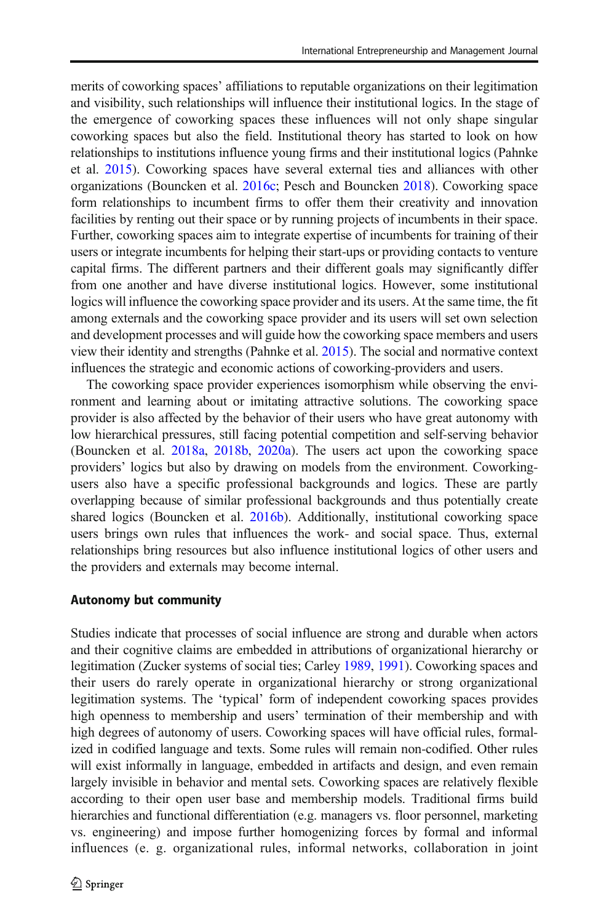merits of coworking spaces' affiliations to reputable organizations on their legitimation and visibility, such relationships will influence their institutional logics. In the stage of the emergence of coworking spaces these influences will not only shape singular coworking spaces but also the field. Institutional theory has started to look on how relationships to institutions influence young firms and their institutional logics (Pahnke et al. [2015](#page-15-0)). Coworking spaces have several external ties and alliances with other organizations (Bouncken et al. [2016c;](#page-13-0) Pesch and Bouncken [2018\)](#page-15-0). Coworking space form relationships to incumbent firms to offer them their creativity and innovation facilities by renting out their space or by running projects of incumbents in their space. Further, coworking spaces aim to integrate expertise of incumbents for training of their users or integrate incumbents for helping their start-ups or providing contacts to venture capital firms. The different partners and their different goals may significantly differ from one another and have diverse institutional logics. However, some institutional logics will influence the coworking space provider and its users. At the same time, the fit among externals and the coworking space provider and its users will set own selection and development processes and will guide how the coworking space members and users view their identity and strengths (Pahnke et al. [2015\)](#page-15-0). The social and normative context influences the strategic and economic actions of coworking-providers and users.

The coworking space provider experiences isomorphism while observing the environment and learning about or imitating attractive solutions. The coworking space provider is also affected by the behavior of their users who have great autonomy with low hierarchical pressures, still facing potential competition and self-serving behavior (Bouncken et al. [2018a,](#page-13-0) [2018b](#page-13-0), [2020a](#page-13-0)). The users act upon the coworking space providers' logics but also by drawing on models from the environment. Coworkingusers also have a specific professional backgrounds and logics. These are partly overlapping because of similar professional backgrounds and thus potentially create shared logics (Bouncken et al. [2016b\)](#page-13-0). Additionally, institutional coworking space users brings own rules that influences the work- and social space. Thus, external relationships bring resources but also influence institutional logics of other users and the providers and externals may become internal.

### Autonomy but community

Studies indicate that processes of social influence are strong and durable when actors and their cognitive claims are embedded in attributions of organizational hierarchy or legitimation (Zucker systems of social ties; Carley [1989,](#page-14-0) [1991](#page-14-0)). Coworking spaces and their users do rarely operate in organizational hierarchy or strong organizational legitimation systems. The 'typical' form of independent coworking spaces provides high openness to membership and users' termination of their membership and with high degrees of autonomy of users. Coworking spaces will have official rules, formalized in codified language and texts. Some rules will remain non-codified. Other rules will exist informally in language, embedded in artifacts and design, and even remain largely invisible in behavior and mental sets. Coworking spaces are relatively flexible according to their open user base and membership models. Traditional firms build hierarchies and functional differentiation (e.g. managers vs. floor personnel, marketing vs. engineering) and impose further homogenizing forces by formal and informal influences (e. g. organizational rules, informal networks, collaboration in joint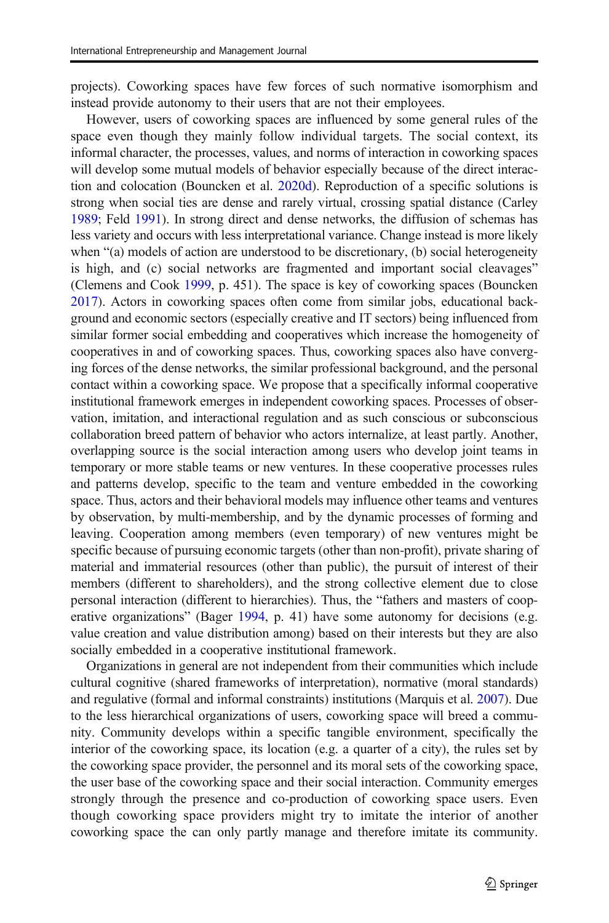projects). Coworking spaces have few forces of such normative isomorphism and instead provide autonomy to their users that are not their employees.

However, users of coworking spaces are influenced by some general rules of the space even though they mainly follow individual targets. The social context, its informal character, the processes, values, and norms of interaction in coworking spaces will develop some mutual models of behavior especially because of the direct interaction and colocation (Bouncken et al. [2020d](#page-13-0)). Reproduction of a specific solutions is strong when social ties are dense and rarely virtual, crossing spatial distance (Carley [1989;](#page-14-0) Feld [1991\)](#page-14-0). In strong direct and dense networks, the diffusion of schemas has less variety and occurs with less interpretational variance. Change instead is more likely when "(a) models of action are understood to be discretionary, (b) social heterogeneity is high, and (c) social networks are fragmented and important social cleavages" (Clemens and Cook [1999](#page-14-0), p. 451). The space is key of coworking spaces (Bouncken [2017\)](#page-13-0). Actors in coworking spaces often come from similar jobs, educational background and economic sectors (especially creative and IT sectors) being influenced from similar former social embedding and cooperatives which increase the homogeneity of cooperatives in and of coworking spaces. Thus, coworking spaces also have converging forces of the dense networks, the similar professional background, and the personal contact within a coworking space. We propose that a specifically informal cooperative institutional framework emerges in independent coworking spaces. Processes of observation, imitation, and interactional regulation and as such conscious or subconscious collaboration breed pattern of behavior who actors internalize, at least partly. Another, overlapping source is the social interaction among users who develop joint teams in temporary or more stable teams or new ventures. In these cooperative processes rules and patterns develop, specific to the team and venture embedded in the coworking space. Thus, actors and their behavioral models may influence other teams and ventures by observation, by multi-membership, and by the dynamic processes of forming and leaving. Cooperation among members (even temporary) of new ventures might be specific because of pursuing economic targets (other than non-profit), private sharing of material and immaterial resources (other than public), the pursuit of interest of their members (different to shareholders), and the strong collective element due to close personal interaction (different to hierarchies). Thus, the "fathers and masters of coop-erative organizations" (Bager [1994](#page-12-0), p. 41) have some autonomy for decisions (e.g. value creation and value distribution among) based on their interests but they are also socially embedded in a cooperative institutional framework.

Organizations in general are not independent from their communities which include cultural cognitive (shared frameworks of interpretation), normative (moral standards) and regulative (formal and informal constraints) institutions (Marquis et al. [2007\)](#page-15-0). Due to the less hierarchical organizations of users, coworking space will breed a community. Community develops within a specific tangible environment, specifically the interior of the coworking space, its location (e.g. a quarter of a city), the rules set by the coworking space provider, the personnel and its moral sets of the coworking space, the user base of the coworking space and their social interaction. Community emerges strongly through the presence and co-production of coworking space users. Even though coworking space providers might try to imitate the interior of another coworking space the can only partly manage and therefore imitate its community.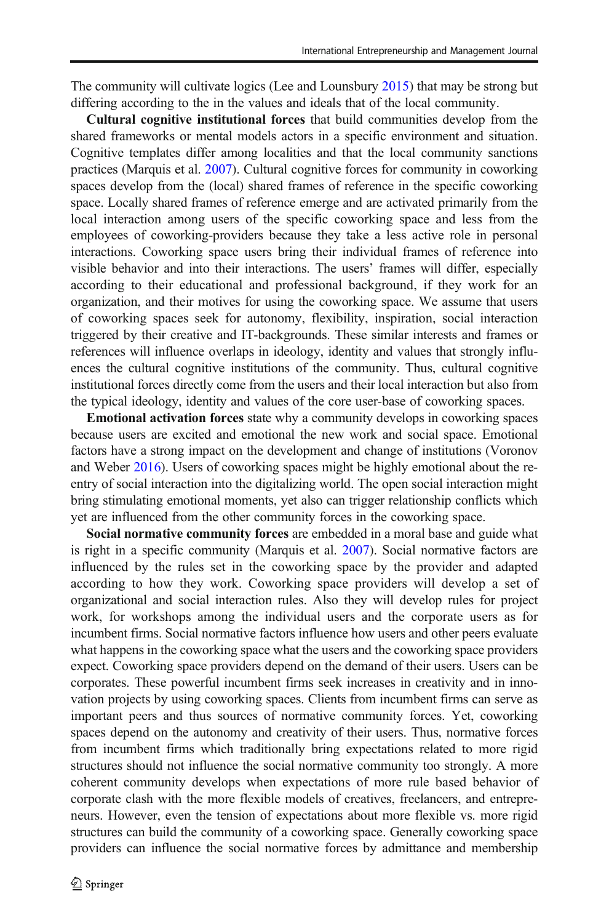The community will cultivate logics (Lee and Lounsbury [2015](#page-15-0)) that may be strong but differing according to the in the values and ideals that of the local community.

Cultural cognitive institutional forces that build communities develop from the shared frameworks or mental models actors in a specific environment and situation. Cognitive templates differ among localities and that the local community sanctions practices (Marquis et al. [2007\)](#page-15-0). Cultural cognitive forces for community in coworking spaces develop from the (local) shared frames of reference in the specific coworking space. Locally shared frames of reference emerge and are activated primarily from the local interaction among users of the specific coworking space and less from the employees of coworking-providers because they take a less active role in personal interactions. Coworking space users bring their individual frames of reference into visible behavior and into their interactions. The users' frames will differ, especially according to their educational and professional background, if they work for an organization, and their motives for using the coworking space. We assume that users of coworking spaces seek for autonomy, flexibility, inspiration, social interaction triggered by their creative and IT-backgrounds. These similar interests and frames or references will influence overlaps in ideology, identity and values that strongly influences the cultural cognitive institutions of the community. Thus, cultural cognitive institutional forces directly come from the users and their local interaction but also from the typical ideology, identity and values of the core user-base of coworking spaces.

Emotional activation forces state why a community develops in coworking spaces because users are excited and emotional the new work and social space. Emotional factors have a strong impact on the development and change of institutions (Voronov and Weber [2016](#page-16-0)). Users of coworking spaces might be highly emotional about the reentry of social interaction into the digitalizing world. The open social interaction might bring stimulating emotional moments, yet also can trigger relationship conflicts which yet are influenced from the other community forces in the coworking space.

Social normative community forces are embedded in a moral base and guide what is right in a specific community (Marquis et al. [2007\)](#page-15-0). Social normative factors are influenced by the rules set in the coworking space by the provider and adapted according to how they work. Coworking space providers will develop a set of organizational and social interaction rules. Also they will develop rules for project work, for workshops among the individual users and the corporate users as for incumbent firms. Social normative factors influence how users and other peers evaluate what happens in the coworking space what the users and the coworking space providers expect. Coworking space providers depend on the demand of their users. Users can be corporates. These powerful incumbent firms seek increases in creativity and in innovation projects by using coworking spaces. Clients from incumbent firms can serve as important peers and thus sources of normative community forces. Yet, coworking spaces depend on the autonomy and creativity of their users. Thus, normative forces from incumbent firms which traditionally bring expectations related to more rigid structures should not influence the social normative community too strongly. A more coherent community develops when expectations of more rule based behavior of corporate clash with the more flexible models of creatives, freelancers, and entrepreneurs. However, even the tension of expectations about more flexible vs. more rigid structures can build the community of a coworking space. Generally coworking space providers can influence the social normative forces by admittance and membership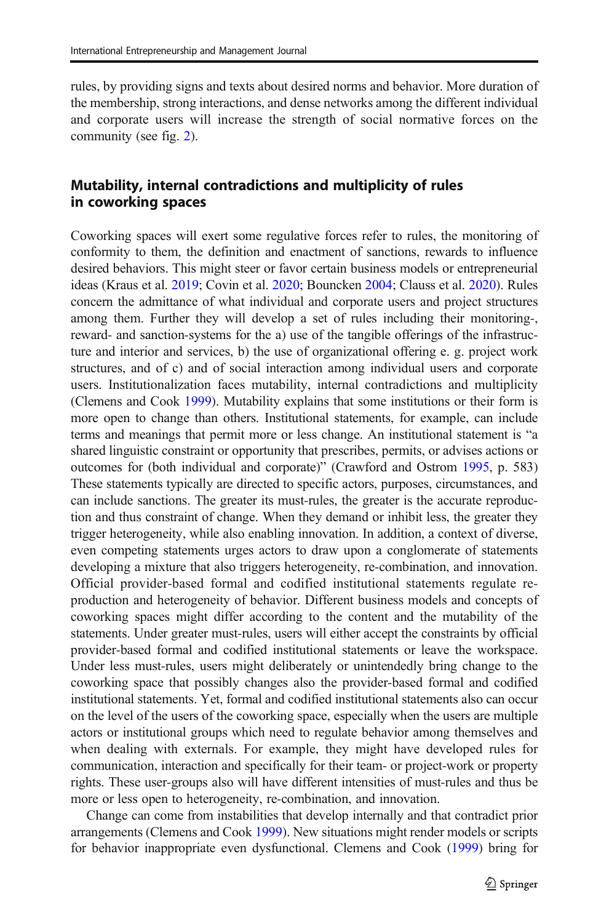rules, by providing signs and texts about desired norms and behavior. More duration of the membership, strong interactions, and dense networks among the different individual and corporate users will increase the strength of social normative forces on the community (see fig. [2\)](#page-3-0).

# Mutability, internal contradictions and multiplicity of rules in coworking spaces

Coworking spaces will exert some regulative forces refer to rules, the monitoring of conformity to them, the definition and enactment of sanctions, rewards to influence desired behaviors. This might steer or favor certain business models or entrepreneurial ideas (Kraus et al. [2019](#page-15-0); Covin et al. [2020](#page-14-0); Bouncken [2004](#page-13-0); Clauss et al. [2020](#page-14-0)). Rules concern the admittance of what individual and corporate users and project structures among them. Further they will develop a set of rules including their monitoring-, reward- and sanction-systems for the a) use of the tangible offerings of the infrastructure and interior and services, b) the use of organizational offering e. g. project work structures, and of c) and of social interaction among individual users and corporate users. Institutionalization faces mutability, internal contradictions and multiplicity (Clemens and Cook [1999\)](#page-14-0). Mutability explains that some institutions or their form is more open to change than others. Institutional statements, for example, can include terms and meanings that permit more or less change. An institutional statement is "a shared linguistic constraint or opportunity that prescribes, permits, or advises actions or outcomes for (both individual and corporate)" (Crawford and Ostrom [1995](#page-14-0), p. 583) These statements typically are directed to specific actors, purposes, circumstances, and can include sanctions. The greater its must-rules, the greater is the accurate reproduction and thus constraint of change. When they demand or inhibit less, the greater they trigger heterogeneity, while also enabling innovation. In addition, a context of diverse, even competing statements urges actors to draw upon a conglomerate of statements developing a mixture that also triggers heterogeneity, re-combination, and innovation. Official provider-based formal and codified institutional statements regulate reproduction and heterogeneity of behavior. Different business models and concepts of coworking spaces might differ according to the content and the mutability of the statements. Under greater must-rules, users will either accept the constraints by official provider-based formal and codified institutional statements or leave the workspace. Under less must-rules, users might deliberately or unintendedly bring change to the coworking space that possibly changes also the provider-based formal and codified institutional statements. Yet, formal and codified institutional statements also can occur on the level of the users of the coworking space, especially when the users are multiple actors or institutional groups which need to regulate behavior among themselves and when dealing with externals. For example, they might have developed rules for communication, interaction and specifically for their team- or project-work or property rights. These user-groups also will have different intensities of must-rules and thus be more or less open to heterogeneity, re-combination, and innovation.

Change can come from instabilities that develop internally and that contradict prior arrangements (Clemens and Cook [1999\)](#page-14-0). New situations might render models or scripts for behavior inappropriate even dysfunctional. Clemens and Cook ([1999](#page-14-0)) bring for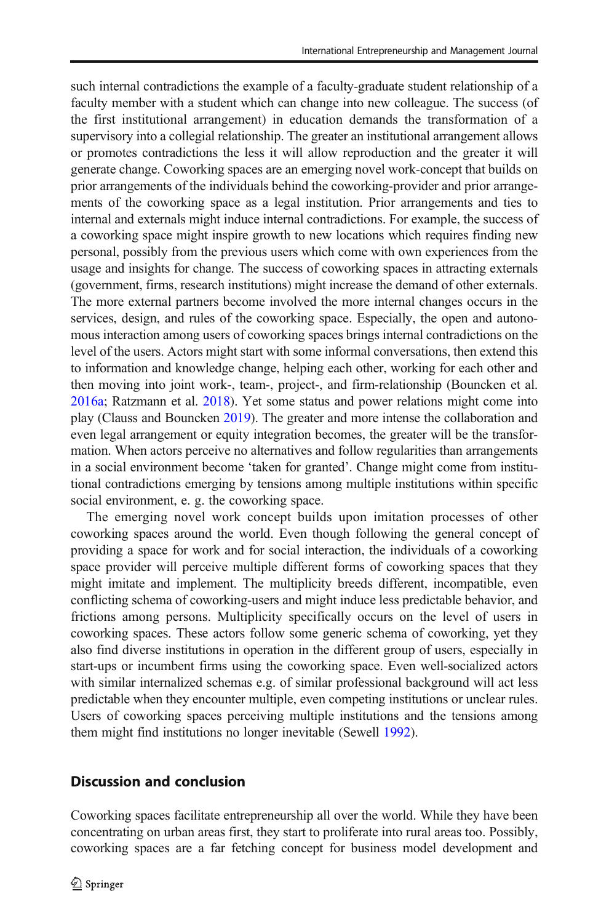such internal contradictions the example of a faculty-graduate student relationship of a faculty member with a student which can change into new colleague. The success (of the first institutional arrangement) in education demands the transformation of a supervisory into a collegial relationship. The greater an institutional arrangement allows or promotes contradictions the less it will allow reproduction and the greater it will generate change. Coworking spaces are an emerging novel work-concept that builds on prior arrangements of the individuals behind the coworking-provider and prior arrangements of the coworking space as a legal institution. Prior arrangements and ties to internal and externals might induce internal contradictions. For example, the success of a coworking space might inspire growth to new locations which requires finding new personal, possibly from the previous users which come with own experiences from the usage and insights for change. The success of coworking spaces in attracting externals (government, firms, research institutions) might increase the demand of other externals. The more external partners become involved the more internal changes occurs in the services, design, and rules of the coworking space. Especially, the open and autonomous interaction among users of coworking spaces brings internal contradictions on the level of the users. Actors might start with some informal conversations, then extend this to information and knowledge change, helping each other, working for each other and then moving into joint work-, team-, project-, and firm-relationship (Bouncken et al. [2016a;](#page-13-0) Ratzmann et al. [2018](#page-15-0)). Yet some status and power relations might come into play (Clauss and Bouncken [2019\)](#page-14-0). The greater and more intense the collaboration and even legal arrangement or equity integration becomes, the greater will be the transformation. When actors perceive no alternatives and follow regularities than arrangements in a social environment become 'taken for granted'. Change might come from institutional contradictions emerging by tensions among multiple institutions within specific social environment, e. g. the coworking space.

The emerging novel work concept builds upon imitation processes of other coworking spaces around the world. Even though following the general concept of providing a space for work and for social interaction, the individuals of a coworking space provider will perceive multiple different forms of coworking spaces that they might imitate and implement. The multiplicity breeds different, incompatible, even conflicting schema of coworking-users and might induce less predictable behavior, and frictions among persons. Multiplicity specifically occurs on the level of users in coworking spaces. These actors follow some generic schema of coworking, yet they also find diverse institutions in operation in the different group of users, especially in start-ups or incumbent firms using the coworking space. Even well-socialized actors with similar internalized schemas e.g. of similar professional background will act less predictable when they encounter multiple, even competing institutions or unclear rules. Users of coworking spaces perceiving multiple institutions and the tensions among them might find institutions no longer inevitable (Sewell [1992](#page-15-0)).

# Discussion and conclusion

Coworking spaces facilitate entrepreneurship all over the world. While they have been concentrating on urban areas first, they start to proliferate into rural areas too. Possibly, coworking spaces are a far fetching concept for business model development and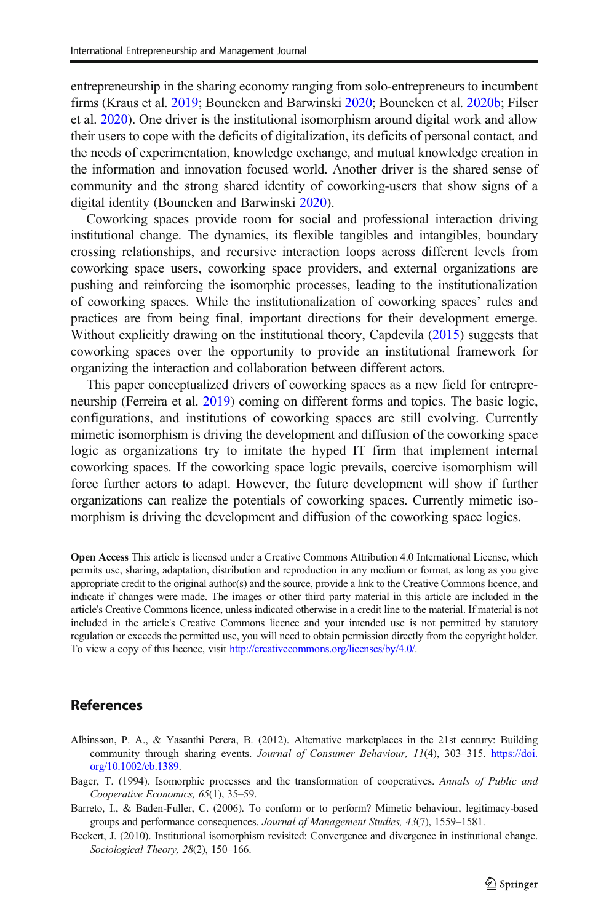<span id="page-12-0"></span>entrepreneurship in the sharing economy ranging from solo-entrepreneurs to incumbent firms (Kraus et al. [2019](#page-15-0); Bouncken and Barwinski [2020;](#page-13-0) Bouncken et al. [2020b](#page-13-0); Filser et al. [2020](#page-14-0)). One driver is the institutional isomorphism around digital work and allow their users to cope with the deficits of digitalization, its deficits of personal contact, and the needs of experimentation, knowledge exchange, and mutual knowledge creation in the information and innovation focused world. Another driver is the shared sense of community and the strong shared identity of coworking-users that show signs of a digital identity (Bouncken and Barwinski [2020\)](#page-13-0).

Coworking spaces provide room for social and professional interaction driving institutional change. The dynamics, its flexible tangibles and intangibles, boundary crossing relationships, and recursive interaction loops across different levels from coworking space users, coworking space providers, and external organizations are pushing and reinforcing the isomorphic processes, leading to the institutionalization of coworking spaces. While the institutionalization of coworking spaces' rules and practices are from being final, important directions for their development emerge. Without explicitly drawing on the institutional theory, Capdevila [\(2015\)](#page-14-0) suggests that coworking spaces over the opportunity to provide an institutional framework for organizing the interaction and collaboration between different actors.

This paper conceptualized drivers of coworking spaces as a new field for entrepreneurship (Ferreira et al. [2019](#page-14-0)) coming on different forms and topics. The basic logic, configurations, and institutions of coworking spaces are still evolving. Currently mimetic isomorphism is driving the development and diffusion of the coworking space logic as organizations try to imitate the hyped IT firm that implement internal coworking spaces. If the coworking space logic prevails, coercive isomorphism will force further actors to adapt. However, the future development will show if further organizations can realize the potentials of coworking spaces. Currently mimetic isomorphism is driving the development and diffusion of the coworking space logics.

Open Access This article is licensed under a Creative Commons Attribution 4.0 International License, which permits use, sharing, adaptation, distribution and reproduction in any medium or format, as long as you give appropriate credit to the original author(s) and the source, provide a link to the Creative Commons licence, and indicate if changes were made. The images or other third party material in this article are included in the article's Creative Commons licence, unless indicated otherwise in a credit line to the material. If material is not included in the article's Creative Commons licence and your intended use is not permitted by statutory regulation or exceeds the permitted use, you will need to obtain permission directly from the copyright holder. To view a copy of this licence, visit [http://creativecommons.org/licenses/by/4.0/](https://doi.org/10.1002/cb.1389).

### References

- Albinsson, P. A., & Yasanthi Perera, B. (2012). Alternative marketplaces in the 21st century: Building community through sharing events. Journal of Consumer Behaviour, 11(4), 303-315. [https://doi.](https://doi.org/10.1002/cb.1389) [org/10.1002/cb.1389](https://doi.org/10.1002/cb.1389).
- Bager, T. (1994). Isomorphic processes and the transformation of cooperatives. Annals of Public and Cooperative Economics, 65(1), 35–59.
- Barreto, I., & Baden-Fuller, C. (2006). To conform or to perform? Mimetic behaviour, legitimacy-based groups and performance consequences. Journal of Management Studies, 43(7), 1559–1581.
- Beckert, J. (2010). Institutional isomorphism revisited: Convergence and divergence in institutional change. Sociological Theory, 28(2), 150-166.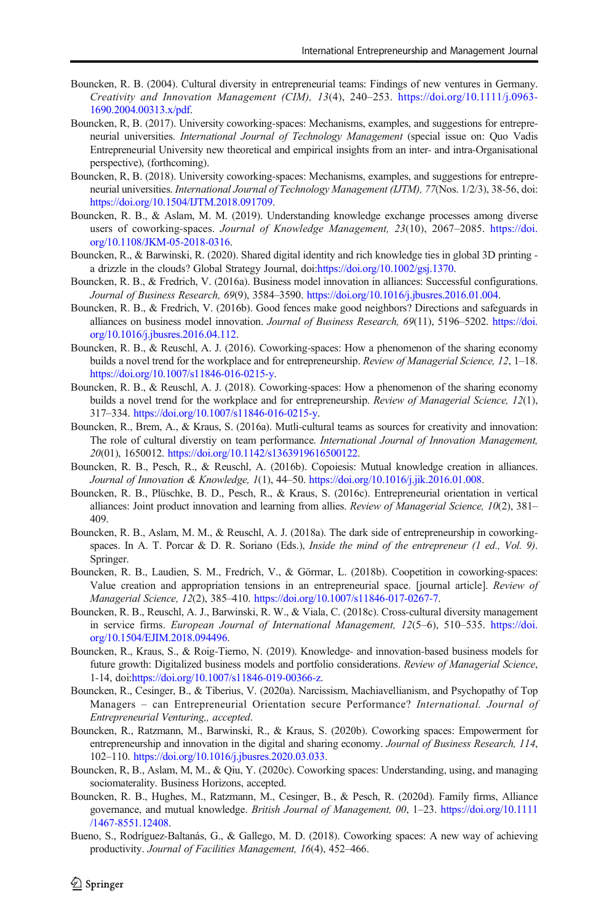- <span id="page-13-0"></span>Bouncken, R. B. (2004). Cultural diversity in entrepreneurial teams: Findings of new ventures in Germany. Creativity and Innovation Management (CIM), 13(4), 240–253. [https://doi.org/10.1111/j.0963-](https://doi.org/10.1111/j.0963-1690.2004.00313.x/pdf) [1690.2004.00313.x/pdf](https://doi.org/10.1111/j.0963-1690.2004.00313.x/pdf).
- Bouncken, R, B. (2017). University coworking-spaces: Mechanisms, examples, and suggestions for entrepreneurial universities. International Journal of Technology Management (special issue on: Quo Vadis Entrepreneurial University new theoretical and empirical insights from an inter- and intra-Organisational perspective), (forthcoming).
- Bouncken, R, B. (2018). University coworking-spaces: Mechanisms, examples, and suggestions for entrepreneurial universities. International Journal of Technology Management (IJTM), 77(Nos. 1/2/3), 38-56, doi: [https://doi.org/10.1504/IJTM.2018.091709.](https://doi.org/10.1504/IJTM.2018.091709)
- Bouncken, R. B., & Aslam, M. M. (2019). Understanding knowledge exchange processes among diverse users of coworking-spaces. Journal of Knowledge Management, 23(10), 2067–2085. [https://doi.](https://doi.org/10.1108/JKM-05-2018-0316) [org/10.1108/JKM-05-2018-0316](https://doi.org/10.1108/JKM-05-2018-0316).
- Bouncken, R., & Barwinski, R. (2020). Shared digital identity and rich knowledge ties in global 3D printing a drizzle in the clouds? Global Strategy Journal, doi[:https://doi.org/10.1002/gsj.1370.](https://doi.org/10.1002/gsj.1370)
- Bouncken, R. B., & Fredrich, V. (2016a). Business model innovation in alliances: Successful configurations. Journal of Business Research, 69(9), 3584–3590. [https://doi.org/10.1016/j.jbusres.2016.01.004.](https://doi.org/10.1016/j.jbusres.2016.01.004)
- Bouncken, R. B., & Fredrich, V. (2016b). Good fences make good neighbors? Directions and safeguards in alliances on business model innovation. Journal of Business Research, 69(11), 5196–5202. [https://doi.](https://doi.org/10.1016/j.jbusres.2016.04.112) [org/10.1016/j.jbusres.2016.04.112](https://doi.org/10.1016/j.jbusres.2016.04.112).
- Bouncken, R. B., & Reuschl, A. J. (2016). Coworking-spaces: How a phenomenon of the sharing economy builds a novel trend for the workplace and for entrepreneurship. Review of Managerial Science, 12, 1–18. [https://doi.org/10.1007/s11846-016-0215-y.](https://doi.org/10.1007/s11846-016-0215-y)
- Bouncken, R. B., & Reuschl, A. J. (2018). Coworking-spaces: How a phenomenon of the sharing economy builds a novel trend for the workplace and for entrepreneurship. Review of Managerial Science, 12(1), 317–334. <https://doi.org/10.1007/s11846-016-0215-y>.
- Bouncken, R., Brem, A., & Kraus, S. (2016a). Mutli-cultural teams as sources for creativity and innovation: The role of cultural diverstiy on team performance. International Journal of Innovation Management, 20(01), 1650012. <https://doi.org/10.1142/s1363919616500122>.
- Bouncken, R. B., Pesch, R., & Reuschl, A. (2016b). Copoiesis: Mutual knowledge creation in alliances. Journal of Innovation & Knowledge, 1(1), 44–50. [https://doi.org/10.1016/j.jik.2016.01.008.](https://doi.org/10.1016/j.jik.2016.01.008)
- Bouncken, R. B., Plüschke, B. D., Pesch, R., & Kraus, S. (2016c). Entrepreneurial orientation in vertical alliances: Joint product innovation and learning from allies. Review of Managerial Science, 10(2), 381– 409.
- Bouncken, R. B., Aslam, M. M., & Reuschl, A. J. (2018a). The dark side of entrepreneurship in coworkingspaces. In A. T. Porcar & D. R. Soriano (Eds.), Inside the mind of the entrepreneur (1 ed., Vol. 9). Springer.
- Bouncken, R. B., Laudien, S. M., Fredrich, V., & Görmar, L. (2018b). Coopetition in coworking-spaces: Value creation and appropriation tensions in an entrepreneurial space. [journal article]. Review of Managerial Science, 12(2), 385–410. <https://doi.org/10.1007/s11846-017-0267-7>.
- Bouncken, R. B., Reuschl, A. J., Barwinski, R. W., & Viala, C. (2018c). Cross-cultural diversity management in service firms. European Journal of International Management, 12(5-6), 510-535. [https://doi.](https://doi.org/10.1504/EJIM.2018.094496) [org/10.1504/EJIM.2018.094496](https://doi.org/10.1504/EJIM.2018.094496).
- Bouncken, R., Kraus, S., & Roig-Tierno, N. (2019). Knowledge- and innovation-based business models for future growth: Digitalized business models and portfolio considerations. Review of Managerial Science, 1-14, doi[:https://doi.org/10.1007/s11846-019-00366-z](https://doi.org/10.1007/s11846-019-00366-z).
- Bouncken, R., Cesinger, B., & Tiberius, V. (2020a). Narcissism, Machiavellianism, and Psychopathy of Top Managers – can Entrepreneurial Orientation secure Performance? International. Journal of Entrepreneurial Venturing,, accepted.
- Bouncken, R., Ratzmann, M., Barwinski, R., & Kraus, S. (2020b). Coworking spaces: Empowerment for entrepreneurship and innovation in the digital and sharing economy. Journal of Business Research, 114, 102–110. [https://doi.org/10.1016/j.jbusres.2020.03.033.](https://doi.org/10.1016/j.jbusres.2020.03.033)
- Bouncken, R, B., Aslam, M, M., & Qiu, Y. (2020c). Coworking spaces: Understanding, using, and managing sociomaterality. Business Horizons, accepted.
- Bouncken, R. B., Hughes, M., Ratzmann, M., Cesinger, B., & Pesch, R. (2020d). Family firms, Alliance governance, and mutual knowledge. British Journal of Management, 00, 1–23. [https://doi.org/10.1111](https://doi.org/10.1111/1467-8551.12408) [/1467-8551.12408.](https://doi.org/10.1111/1467-8551.12408)
- Bueno, S., Rodríguez-Baltanás, G., & Gallego, M. D. (2018). Coworking spaces: A new way of achieving productivity. Journal of Facilities Management, 16(4), 452–466.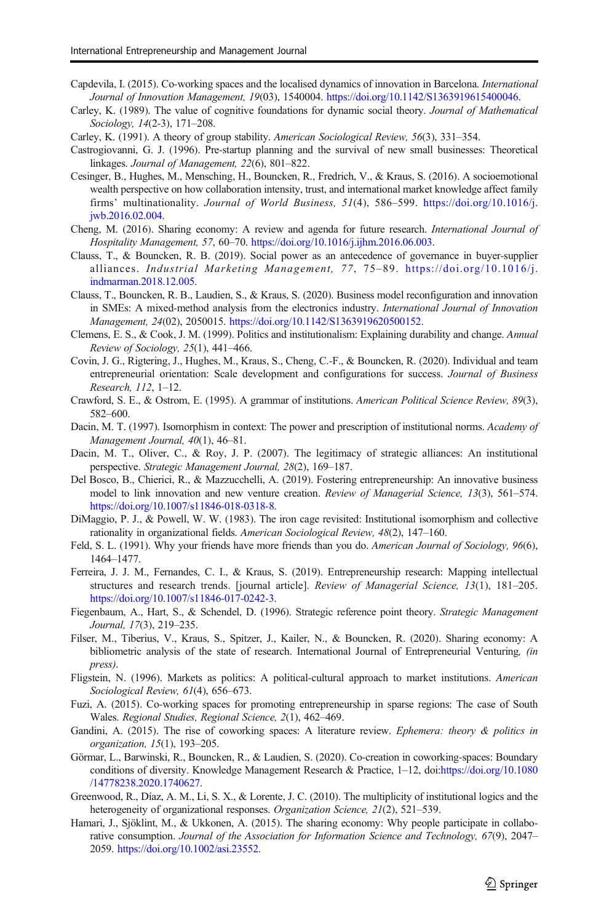- <span id="page-14-0"></span>Capdevila, I. (2015). Co-working spaces and the localised dynamics of innovation in Barcelona. International Journal of Innovation Management, 19(03), 1540004. <https://doi.org/10.1142/S1363919615400046>.
- Carley, K. (1989). The value of cognitive foundations for dynamic social theory. Journal of Mathematical Sociology, 14(2-3), 171–208.

Carley, K. (1991). A theory of group stability. American Sociological Review, 56(3), 331–354.

- Castrogiovanni, G. J. (1996). Pre-startup planning and the survival of new small businesses: Theoretical linkages. Journal of Management, 22(6), 801–822.
- Cesinger, B., Hughes, M., Mensching, H., Bouncken, R., Fredrich, V., & Kraus, S. (2016). A socioemotional wealth perspective on how collaboration intensity, trust, and international market knowledge affect family firms' multinationality. Journal of World Business, 51(4), 586–599. [https://doi.org/10.1016/j.](https://doi.org/10.1016/j.jwb.2016.02.004) [jwb.2016.02.004](https://doi.org/10.1016/j.jwb.2016.02.004).
- Cheng, M. (2016). Sharing economy: A review and agenda for future research. International Journal of Hospitality Management, 57, 60–70. [https://doi.org/10.1016/j.ijhm.2016.06.003.](https://doi.org/10.1016/j.ijhm.2016.06.003)
- Clauss, T., & Bouncken, R. B. (2019). Social power as an antecedence of governance in buyer-supplier alliances. Industrial Marketing Management, 77, 75–89. [https://doi.org/10.1016/j.](https://doi.org/10.1016/j.indmarman.2018.12.005) [indmarman.2018.12.005](https://doi.org/10.1016/j.indmarman.2018.12.005).
- Clauss, T., Bouncken, R. B., Laudien, S., & Kraus, S. (2020). Business model reconfiguration and innovation in SMEs: A mixed-method analysis from the electronics industry. International Journal of Innovation Management, 24(02), 2050015. [https://doi.org/10.1142/S1363919620500152.](https://doi.org/10.1142/S1363919620500152)
- Clemens, E. S., & Cook, J. M. (1999). Politics and institutionalism: Explaining durability and change. Annual Review of Sociology, 25(1), 441–466.
- Covin, J. G., Rigtering, J., Hughes, M., Kraus, S., Cheng, C.-F., & Bouncken, R. (2020). Individual and team entrepreneurial orientation: Scale development and configurations for success. Journal of Business Research, 112, 1–12.
- Crawford, S. E., & Ostrom, E. (1995). A grammar of institutions. American Political Science Review, 89(3), 582–600.
- Dacin, M. T. (1997). Isomorphism in context: The power and prescription of institutional norms. Academy of Management Journal, 40(1), 46–81.
- Dacin, M. T., Oliver, C., & Roy, J. P. (2007). The legitimacy of strategic alliances: An institutional perspective. Strategic Management Journal, 28(2), 169–187.
- Del Bosco, B., Chierici, R., & Mazzucchelli, A. (2019). Fostering entrepreneurship: An innovative business model to link innovation and new venture creation. Review of Managerial Science, 13(3), 561–574. [https://doi.org/10.1007/s11846-018-0318-8.](https://doi.org/10.1007/s11846-018-0318-8)
- DiMaggio, P. J., & Powell, W. W. (1983). The iron cage revisited: Institutional isomorphism and collective rationality in organizational fields. American Sociological Review, 48(2), 147–160.
- Feld, S. L. (1991). Why your friends have more friends than you do. American Journal of Sociology, 96(6), 1464–1477.
- Ferreira, J. J. M., Fernandes, C. I., & Kraus, S. (2019). Entrepreneurship research: Mapping intellectual structures and research trends. [journal article]. Review of Managerial Science, 13(1), 181-205. [https://doi.org/10.1007/s11846-017-0242-3.](https://doi.org/10.1007/s11846-017-0242-3)
- Fiegenbaum, A., Hart, S., & Schendel, D. (1996). Strategic reference point theory. Strategic Management Journal, 17(3), 219–235.
- Filser, M., Tiberius, V., Kraus, S., Spitzer, J., Kailer, N., & Bouncken, R. (2020). Sharing economy: A bibliometric analysis of the state of research. International Journal of Entrepreneurial Venturing, *(in*) press).
- Fligstein, N. (1996). Markets as politics: A political-cultural approach to market institutions. American Sociological Review, 61(4), 656–673.
- Fuzi, A. (2015). Co-working spaces for promoting entrepreneurship in sparse regions: The case of South Wales. Regional Studies, Regional Science, 2(1), 462–469.
- Gandini, A. (2015). The rise of coworking spaces: A literature review. *Ephemera: theory & politics in* organization, 15(1), 193–205.
- Görmar, L., Barwinski, R., Bouncken, R., & Laudien, S. (2020). Co-creation in coworking-spaces: Boundary conditions of diversity. Knowledge Management Research & Practice, 1–12, doi[:https://doi.org/10.1080](https://doi.org/10.1080/14778238.2020.1740627) [/14778238.2020.1740627](https://doi.org/10.1080/14778238.2020.1740627).
- Greenwood, R., Díaz, A. M., Li, S. X., & Lorente, J. C. (2010). The multiplicity of institutional logics and the heterogeneity of organizational responses. Organization Science, 21(2), 521-539.
- Hamari, J., Sjöklint, M., & Ukkonen, A. (2015). The sharing economy: Why people participate in collaborative consumption. Journal of the Association for Information Science and Technology, 67(9), 2047– 2059. [https://doi.org/10.1002/asi.23552.](https://doi.org/10.1002/asi.23552)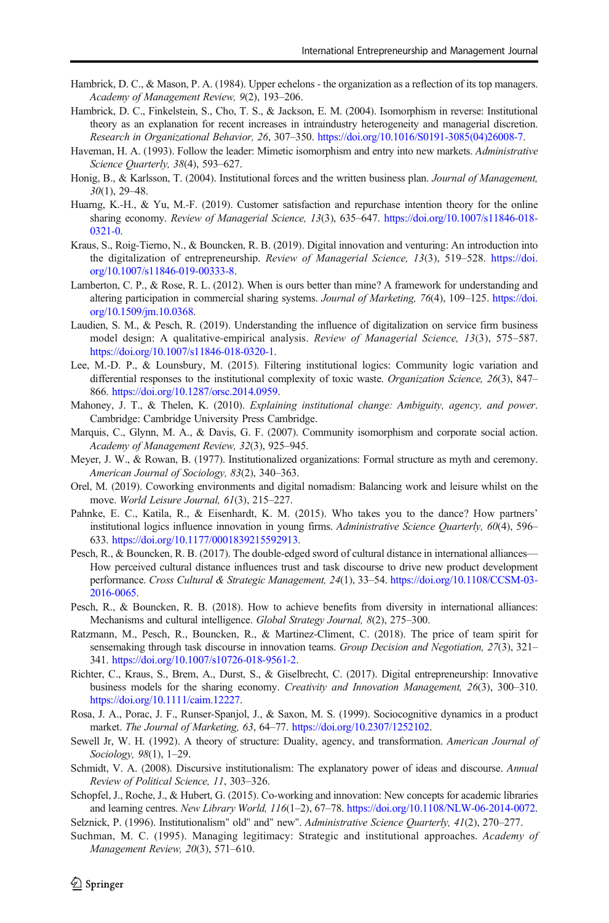- <span id="page-15-0"></span>Hambrick, D. C., & Mason, P. A. (1984). Upper echelons - the organization as a reflection of its top managers. Academy of Management Review, 9(2), 193–206.
- Hambrick, D. C., Finkelstein, S., Cho, T. S., & Jackson, E. M. (2004). Isomorphism in reverse: Institutional theory as an explanation for recent increases in intraindustry heterogeneity and managerial discretion. Research in Organizational Behavior, 26, 307–350. [https://doi.org/10.1016/S0191-3085\(04\)26008-7.](https://doi.org/10.1016/S0191-3085(04)26008-7)
- Haveman, H. A. (1993). Follow the leader: Mimetic isomorphism and entry into new markets. Administrative Science Quarterly, 38(4), 593–627.
- Honig, B., & Karlsson, T. (2004). Institutional forces and the written business plan. Journal of Management,  $30(1)$ , 29–48.
- Huarng, K.-H., & Yu, M.-F. (2019). Customer satisfaction and repurchase intention theory for the online sharing economy. Review of Managerial Science, 13(3), 635–647. [https://doi.org/10.1007/s11846-018-](https://doi.org/10.1007/s11846-018-0321-0) [0321-0.](https://doi.org/10.1007/s11846-018-0321-0)
- Kraus, S., Roig-Tierno, N., & Bouncken, R. B. (2019). Digital innovation and venturing: An introduction into the digitalization of entrepreneurship. Review of Managerial Science, 13(3), 519–528. [https://doi.](https://doi.org/10.1007/s11846-019-00333-8) [org/10.1007/s11846-019-00333-8.](https://doi.org/10.1007/s11846-019-00333-8)
- Lamberton, C. P., & Rose, R. L. (2012). When is ours better than mine? A framework for understanding and altering participation in commercial sharing systems. Journal of Marketing, 76(4), 109–125. [https://doi.](https://doi.org/10.1509/jm.10.0368) [org/10.1509/jm.10.0368.](https://doi.org/10.1509/jm.10.0368)
- Laudien, S. M., & Pesch, R. (2019). Understanding the influence of digitalization on service firm business model design: A qualitative-empirical analysis. Review of Managerial Science, 13(3), 575–587. [https://doi.org/10.1007/s11846-018-0320-1.](https://doi.org/10.1007/s11846-018-0320-1)
- Lee, M.-D. P., & Lounsbury, M. (2015). Filtering institutional logics: Community logic variation and differential responses to the institutional complexity of toxic waste. Organization Science, 26(3), 847-866. <https://doi.org/10.1287/orsc.2014.0959>.
- Mahoney, J. T., & Thelen, K. (2010). Explaining institutional change: Ambiguity, agency, and power. Cambridge: Cambridge University Press Cambridge.
- Marquis, C., Glynn, M. A., & Davis, G. F. (2007). Community isomorphism and corporate social action. Academy of Management Review, 32(3), 925–945.
- Meyer, J. W., & Rowan, B. (1977). Institutionalized organizations: Formal structure as myth and ceremony. American Journal of Sociology, 83(2), 340–363.
- Orel, M. (2019). Coworking environments and digital nomadism: Balancing work and leisure whilst on the move. World Leisure Journal, 61(3), 215–227.
- Pahnke, E. C., Katila, R., & Eisenhardt, K. M. (2015). Who takes you to the dance? How partners' institutional logics influence innovation in young firms. Administrative Science Quarterly, 60(4), 596– 633. [https://doi.org/10.1177/0001839215592913.](https://doi.org/10.1177/0001839215592913)
- Pesch, R., & Bouncken, R. B. (2017). The double-edged sword of cultural distance in international alliances-How perceived cultural distance influences trust and task discourse to drive new product development performance. Cross Cultural & Strategic Management, 24(1), 33–54. [https://doi.org/10.1108/CCSM-03-](https://doi.org/10.1108/CCSM-03-2016-0065) [2016-0065](https://doi.org/10.1108/CCSM-03-2016-0065).
- Pesch, R., & Bouncken, R. B. (2018). How to achieve benefits from diversity in international alliances: Mechanisms and cultural intelligence. Global Strategy Journal, 8(2), 275–300.
- Ratzmann, M., Pesch, R., Bouncken, R., & Martinez-Climent, C. (2018). The price of team spirit for sensemaking through task discourse in innovation teams. Group Decision and Negotiation, 27(3), 321– 341. [https://doi.org/10.1007/s10726-018-9561-2.](https://doi.org/10.1007/s10726-018-9561-2)
- Richter, C., Kraus, S., Brem, A., Durst, S., & Giselbrecht, C. (2017). Digital entrepreneurship: Innovative business models for the sharing economy. Creativity and Innovation Management, 26(3), 300–310. <https://doi.org/10.1111/caim.12227>.
- Rosa, J. A., Porac, J. F., Runser-Spanjol, J., & Saxon, M. S. (1999). Sociocognitive dynamics in a product market. The Journal of Marketing, 63, 64–77. <https://doi.org/10.2307/1252102>.
- Sewell Jr, W. H. (1992). A theory of structure: Duality, agency, and transformation. American Journal of Sociology, 98(1), 1–29.
- Schmidt, V. A. (2008). Discursive institutionalism: The explanatory power of ideas and discourse. Annual Review of Political Science, 11, 303–326.
- Schopfel, J., Roche, J., & Hubert, G. (2015). Co-working and innovation: New concepts for academic libraries and learning centres. New Library World, 116(1–2), 67–78. <https://doi.org/10.1108/NLW-06-2014-0072>.
- Selznick, P. (1996). Institutionalism" old" and" new". Administrative Science Quarterly, 41(2), 270-277.
- Suchman, M. C. (1995). Managing legitimacy: Strategic and institutional approaches. Academy of Management Review, 20(3), 571–610.